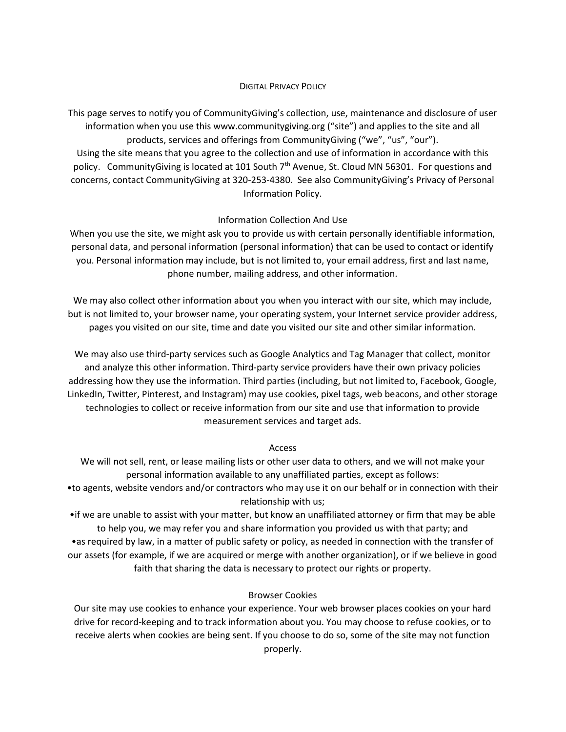## DIGITAL PRIVACY POLICY

This page serves to notify you of CommunityGiving's collection, use, maintenance and disclosure of user information when you use this www.communitygiving.org ("site") and applies to the site and all products, services and offerings from CommunityGiving ("we", "us", "our"). Using the site means that you agree to the collection and use of information in accordance with this policy. CommunityGiving is located at 101 South 7<sup>th</sup> Avenue, St. Cloud MN 56301. For questions and concerns, contact CommunityGiving at 320-253-4380. See also CommunityGiving's Privacy of Personal Information Policy.

# Information Collection And Use

When you use the site, we might ask you to provide us with certain personally identifiable information, personal data, and personal information (personal information) that can be used to contact or identify you. Personal information may include, but is not limited to, your email address, first and last name, phone number, mailing address, and other information.

We may also collect other information about you when you interact with our site, which may include, but is not limited to, your browser name, your operating system, your Internet service provider address, pages you visited on our site, time and date you visited our site and other similar information.

We may also use third-party services such as Google Analytics and Tag Manager that collect, monitor and analyze this other information. Third-party service providers have their own privacy policies addressing how they use the information. Third parties (including, but not limited to, Facebook, Google, LinkedIn, Twitter, Pinterest, and Instagram) may use cookies, pixel tags, web beacons, and other storage technologies to collect or receive information from our site and use that information to provide measurement services and target ads.

## Access

We will not sell, rent, or lease mailing lists or other user data to others, and we will not make your personal information available to any unaffiliated parties, except as follows:

•to agents, website vendors and/or contractors who may use it on our behalf or in connection with their relationship with us;

•if we are unable to assist with your matter, but know an unaffiliated attorney or firm that may be able to help you, we may refer you and share information you provided us with that party; and •as required by law, in a matter of public safety or policy, as needed in connection with the transfer of our assets (for example, if we are acquired or merge with another organization), or if we believe in good faith that sharing the data is necessary to protect our rights or property.

# Browser Cookies

Our site may use cookies to enhance your experience. Your web browser places cookies on your hard drive for record-keeping and to track information about you. You may choose to refuse cookies, or to receive alerts when cookies are being sent. If you choose to do so, some of the site may not function properly.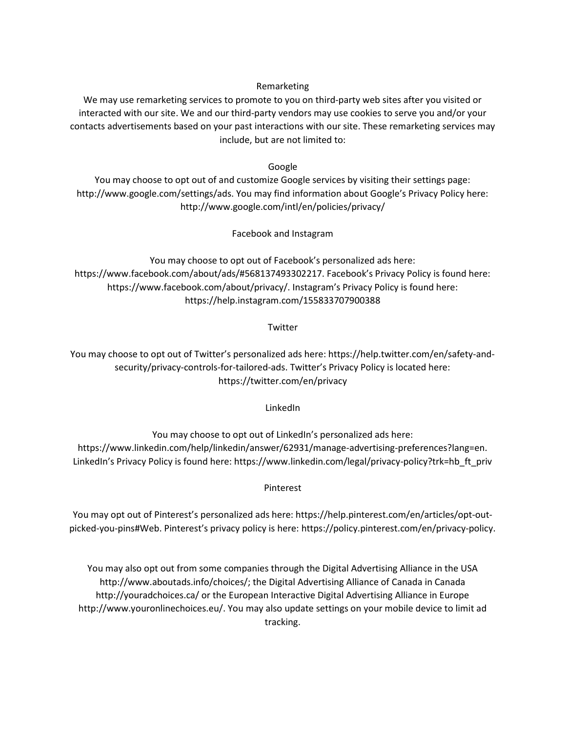Remarketing

We may use remarketing services to promote to you on third-party web sites after you visited or interacted with our site. We and our third-party vendors may use cookies to serve you and/or your contacts advertisements based on your past interactions with our site. These remarketing services may include, but are not limited to:

Google

You may choose to opt out of and customize Google services by visiting their settings page: http://www.google.com/settings/ads. You may find information about Google's Privacy Policy here: http://www.google.com/intl/en/policies/privacy/

Facebook and Instagram

You may choose to opt out of Facebook's personalized ads here: https://www.facebook.com/about/ads/#568137493302217. Facebook's Privacy Policy is found here: https://www.facebook.com/about/privacy/. Instagram's Privacy Policy is found here: https://help.instagram.com/155833707900388

**Twitter** 

You may choose to opt out of Twitter's personalized ads here: https://help.twitter.com/en/safety-andsecurity/privacy-controls-for-tailored-ads. Twitter's Privacy Policy is located here: https://twitter.com/en/privacy

LinkedIn

You may choose to opt out of LinkedIn's personalized ads here: https://www.linkedin.com/help/linkedin/answer/62931/manage-advertising-preferences?lang=en. LinkedIn's Privacy Policy is found here: https://www.linkedin.com/legal/privacy-policy?trk=hb\_ft\_priv

Pinterest

You may opt out of Pinterest's personalized ads here: https://help.pinterest.com/en/articles/opt-outpicked-you-pins#Web. Pinterest's privacy policy is here: https://policy.pinterest.com/en/privacy-policy.

You may also opt out from some companies through the Digital Advertising Alliance in the USA http://www.aboutads.info/choices/; the Digital Advertising Alliance of Canada in Canada http://youradchoices.ca/ or the European Interactive Digital Advertising Alliance in Europe http://www.youronlinechoices.eu/. You may also update settings on your mobile device to limit ad tracking.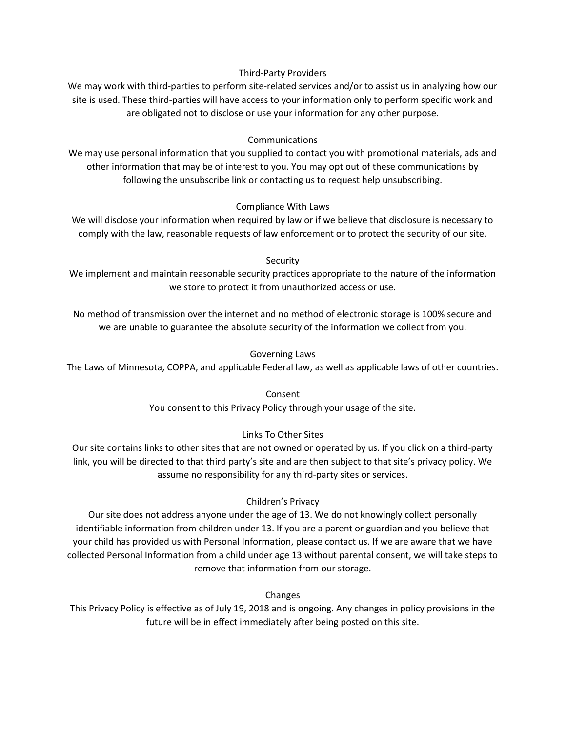## Third-Party Providers

We may work with third-parties to perform site-related services and/or to assist us in analyzing how our site is used. These third-parties will have access to your information only to perform specific work and are obligated not to disclose or use your information for any other purpose.

## Communications

We may use personal information that you supplied to contact you with promotional materials, ads and other information that may be of interest to you. You may opt out of these communications by following the unsubscribe link or contacting us to request help unsubscribing.

## Compliance With Laws

We will disclose your information when required by law or if we believe that disclosure is necessary to comply with the law, reasonable requests of law enforcement or to protect the security of our site.

### **Security**

We implement and maintain reasonable security practices appropriate to the nature of the information we store to protect it from unauthorized access or use.

No method of transmission over the internet and no method of electronic storage is 100% secure and we are unable to guarantee the absolute security of the information we collect from you.

### Governing Laws

The Laws of Minnesota, COPPA, and applicable Federal law, as well as applicable laws of other countries.

Consent You consent to this Privacy Policy through your usage of the site.

## Links To Other Sites

Our site contains links to other sites that are not owned or operated by us. If you click on a third-party link, you will be directed to that third party's site and are then subject to that site's privacy policy. We assume no responsibility for any third-party sites or services.

## Children's Privacy

Our site does not address anyone under the age of 13. We do not knowingly collect personally identifiable information from children under 13. If you are a parent or guardian and you believe that your child has provided us with Personal Information, please contact us. If we are aware that we have collected Personal Information from a child under age 13 without parental consent, we will take steps to remove that information from our storage.

Changes

This Privacy Policy is effective as of July 19, 2018 and is ongoing. Any changes in policy provisions in the future will be in effect immediately after being posted on this site.